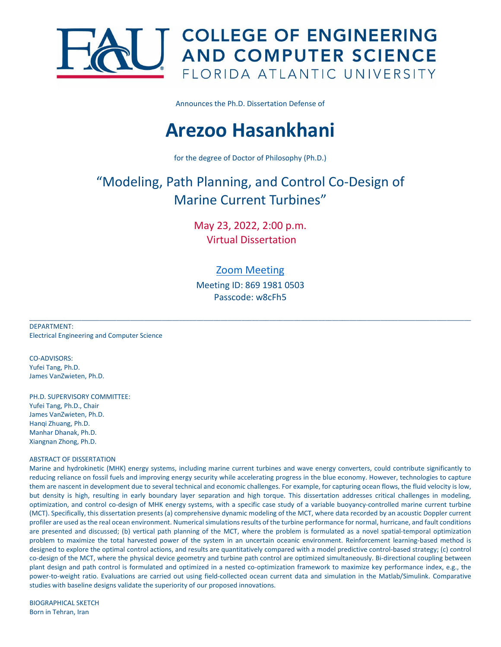

Announces the Ph.D. Dissertation Defense of

# **Arezoo Hasankhani**

for the degree of Doctor of Philosophy (Ph.D.)

# "Modeling, Path Planning, and Control Co-Design of Marine Current Turbines"

May 23, 2022, 2:00 p.m. Virtual Dissertation

## [Zoom Meeting](https://fau-edu.zoom.us/j/86919810503?pwd=TjlZSWY2ZzA1ZEZxbEFaWjhOSVQwUT09)

Meeting ID: 869 1981 0503 Passcode: w8cFh5

\_\_\_\_\_\_\_\_\_\_\_\_\_\_\_\_\_\_\_\_\_\_\_\_\_\_\_\_\_\_\_\_\_\_\_\_\_\_\_\_\_\_\_\_\_\_\_\_\_\_\_\_\_\_\_\_\_\_\_\_\_\_\_\_\_\_\_\_\_\_\_\_\_\_\_\_\_\_\_\_\_\_\_\_\_\_\_\_\_\_\_\_\_\_\_\_\_\_\_\_\_\_\_\_\_\_\_\_\_\_\_\_\_\_\_\_\_\_\_\_\_\_\_\_\_\_\_

DEPARTMENT: Electrical Engineering and Computer Science

CO-ADVISORS: Yufei Tang, Ph.D. James VanZwieten, Ph.D.

PH.D. SUPERVISORY COMMITTEE: Yufei Tang, Ph.D., Chair James VanZwieten, Ph.D. Hanqi Zhuang, Ph.D. Manhar Dhanak, Ph.D. Xiangnan Zhong, Ph.D.

### ABSTRACT OF DISSERTATION

Marine and hydrokinetic (MHK) energy systems, including marine current turbines and wave energy converters, could contribute significantly to reducing reliance on fossil fuels and improving energy security while accelerating progress in the blue economy. However, technologies to capture them are nascent in development due to several technical and economic challenges. For example, for capturing ocean flows, the fluid velocity is low, but density is high, resulting in early boundary layer separation and high torque. This dissertation addresses critical challenges in modeling, optimization, and control co-design of MHK energy systems, with a specific case study of a variable buoyancy-controlled marine current turbine (MCT). Specifically, this dissertation presents (a) comprehensive dynamic modeling of the MCT, where data recorded by an acoustic Doppler current profiler are used as the real ocean environment. Numerical simulations results of the turbine performance for normal, hurricane, and fault conditions are presented and discussed; (b) vertical path planning of the MCT, where the problem is formulated as a novel spatial-temporal optimization problem to maximize the total harvested power of the system in an uncertain oceanic environment. Reinforcement learning-based method is designed to explore the optimal control actions, and results are quantitatively compared with a model predictive control-based strategy; (c) control co-design of the MCT, where the physical device geometry and turbine path control are optimized simultaneously. Bi-directional coupling between plant design and path control is formulated and optimized in a nested co-optimization framework to maximize key performance index, e.g., the power-to-weight ratio. Evaluations are carried out using field-collected ocean current data and simulation in the Matlab/Simulink. Comparative studies with baseline designs validate the superiority of our proposed innovations.

BIOGRAPHICAL SKETCH Born in Tehran, Iran